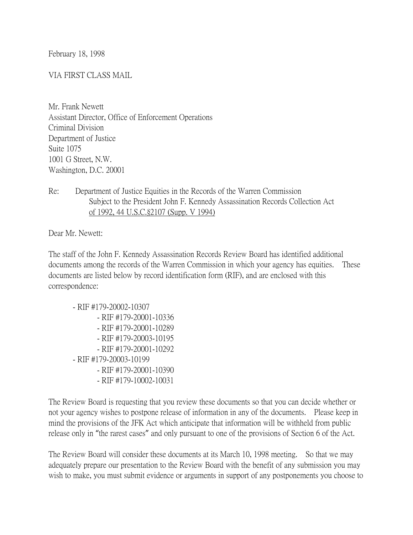February 18, 1998

## VIA FIRST CLASS MAIL

Mr. Frank Newett Assistant Director, Office of Enforcement Operations Criminal Division Department of Justice Suite 1075 1001 G Street, N.W. Washington, D.C. 20001

Re: Department of Justice Equities in the Records of the Warren Commission Subject to the President John F. Kennedy Assassination Records Collection Act of 1992, 44 U.S.C.§2107 (Supp. V 1994)

Dear Mr. Newett:

The staff of the John F. Kennedy Assassination Records Review Board has identified additional documents among the records of the Warren Commission in which your agency has equities. These documents are listed below by record identification form (RIF), and are enclosed with this correspondence:

- RIF #179-20002-10307 - RIF #179-20001-10336 - RIF #179-20001-10289 - RIF #179-20003-10195 - RIF #179-20001-10292 - RIF #179-20003-10199 - RIF #179-20001-10390 - RIF #179-10002-10031

The Review Board is requesting that you review these documents so that you can decide whether or not your agency wishes to postpone release of information in any of the documents. Please keep in mind the provisions of the JFK Act which anticipate that information will be withheld from public release only in "the rarest cases" and only pursuant to one of the provisions of Section 6 of the Act.

The Review Board will consider these documents at its March 10, 1998 meeting. So that we may adequately prepare our presentation to the Review Board with the benefit of any submission you may wish to make, you must submit evidence or arguments in support of any postponements you choose to